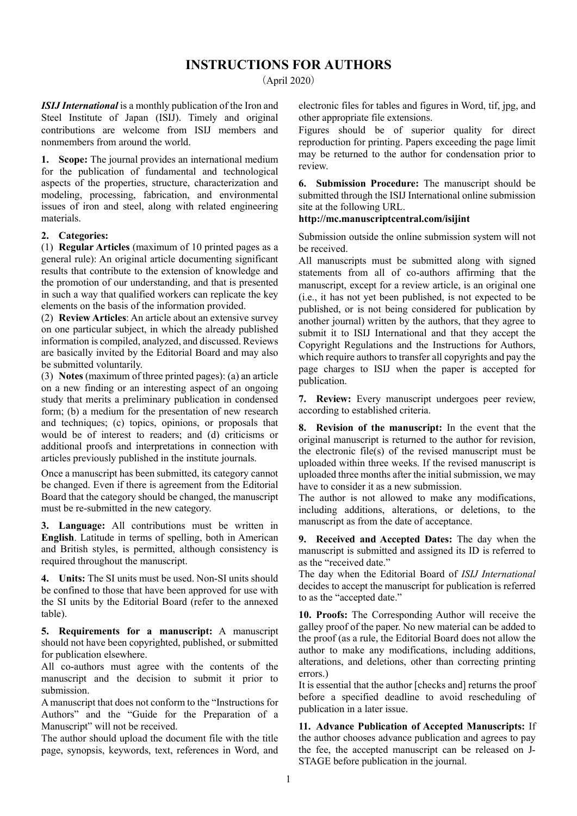## INSTRUCTIONS FOR AUTHORS

(April 2020)

ISIJ International is a monthly publication of the Iron and Steel Institute of Japan (ISIJ). Timely and original contributions are welcome from ISIJ members and nonmembers from around the world.

1. Scope: The journal provides an international medium for the publication of fundamental and technological aspects of the properties, structure, characterization and modeling, processing, fabrication, and environmental issues of iron and steel, along with related engineering materials.

## 2. Categories:

(1) Regular Articles (maximum of 10 printed pages as a general rule): An original article documenting significant results that contribute to the extension of knowledge and the promotion of our understanding, and that is presented in such a way that qualified workers can replicate the key elements on the basis of the information provided.

(2) Review Articles: An article about an extensive survey on one particular subject, in which the already published information is compiled, analyzed, and discussed. Reviews are basically invited by the Editorial Board and may also be submitted voluntarily.

(3) Notes (maximum of three printed pages): (a) an article on a new finding or an interesting aspect of an ongoing study that merits a preliminary publication in condensed form; (b) a medium for the presentation of new research and techniques; (c) topics, opinions, or proposals that would be of interest to readers; and (d) criticisms or additional proofs and interpretations in connection with articles previously published in the institute journals.

Once a manuscript has been submitted, its category cannot be changed. Even if there is agreement from the Editorial Board that the category should be changed, the manuscript must be re-submitted in the new category.

3. Language: All contributions must be written in English. Latitude in terms of spelling, both in American and British styles, is permitted, although consistency is required throughout the manuscript.

4. Units: The SI units must be used. Non-SI units should be confined to those that have been approved for use with the SI units by the Editorial Board (refer to the annexed table).

5. Requirements for a manuscript: A manuscript should not have been copyrighted, published, or submitted for publication elsewhere.

All co-authors must agree with the contents of the manuscript and the decision to submit it prior to submission.

A manuscript that does not conform to the "Instructions for Authors" and the "Guide for the Preparation of a Manuscript" will not be received.

The author should upload the document file with the title page, synopsis, keywords, text, references in Word, and electronic files for tables and figures in Word, tif, jpg, and other appropriate file extensions.

Figures should be of superior quality for direct reproduction for printing. Papers exceeding the page limit may be returned to the author for condensation prior to review.

6. Submission Procedure: The manuscript should be submitted through the ISIJ International online submission site at the following URL.

## http://mc.manuscriptcentral.com/isijint

Submission outside the online submission system will not be received.

All manuscripts must be submitted along with signed statements from all of co-authors affirming that the manuscript, except for a review article, is an original one (i.e., it has not yet been published, is not expected to be published, or is not being considered for publication by another journal) written by the authors, that they agree to submit it to ISIJ International and that they accept the Copyright Regulations and the Instructions for Authors, which require authors to transfer all copyrights and pay the page charges to ISIJ when the paper is accepted for publication.

7. Review: Every manuscript undergoes peer review, according to established criteria.

8. Revision of the manuscript: In the event that the original manuscript is returned to the author for revision, the electronic file(s) of the revised manuscript must be uploaded within three weeks. If the revised manuscript is uploaded three months after the initial submission, we may have to consider it as a new submission.

The author is not allowed to make any modifications, including additions, alterations, or deletions, to the manuscript as from the date of acceptance.

9. Received and Accepted Dates: The day when the manuscript is submitted and assigned its ID is referred to as the "received date."

The day when the Editorial Board of ISIJ International decides to accept the manuscript for publication is referred to as the "accepted date."

10. Proofs: The Corresponding Author will receive the galley proof of the paper. No new material can be added to the proof (as a rule, the Editorial Board does not allow the author to make any modifications, including additions, alterations, and deletions, other than correcting printing errors.)

It is essential that the author [checks and] returns the proof before a specified deadline to avoid rescheduling of publication in a later issue.

11. Advance Publication of Accepted Manuscripts: If the author chooses advance publication and agrees to pay the fee, the accepted manuscript can be released on J-STAGE before publication in the journal.